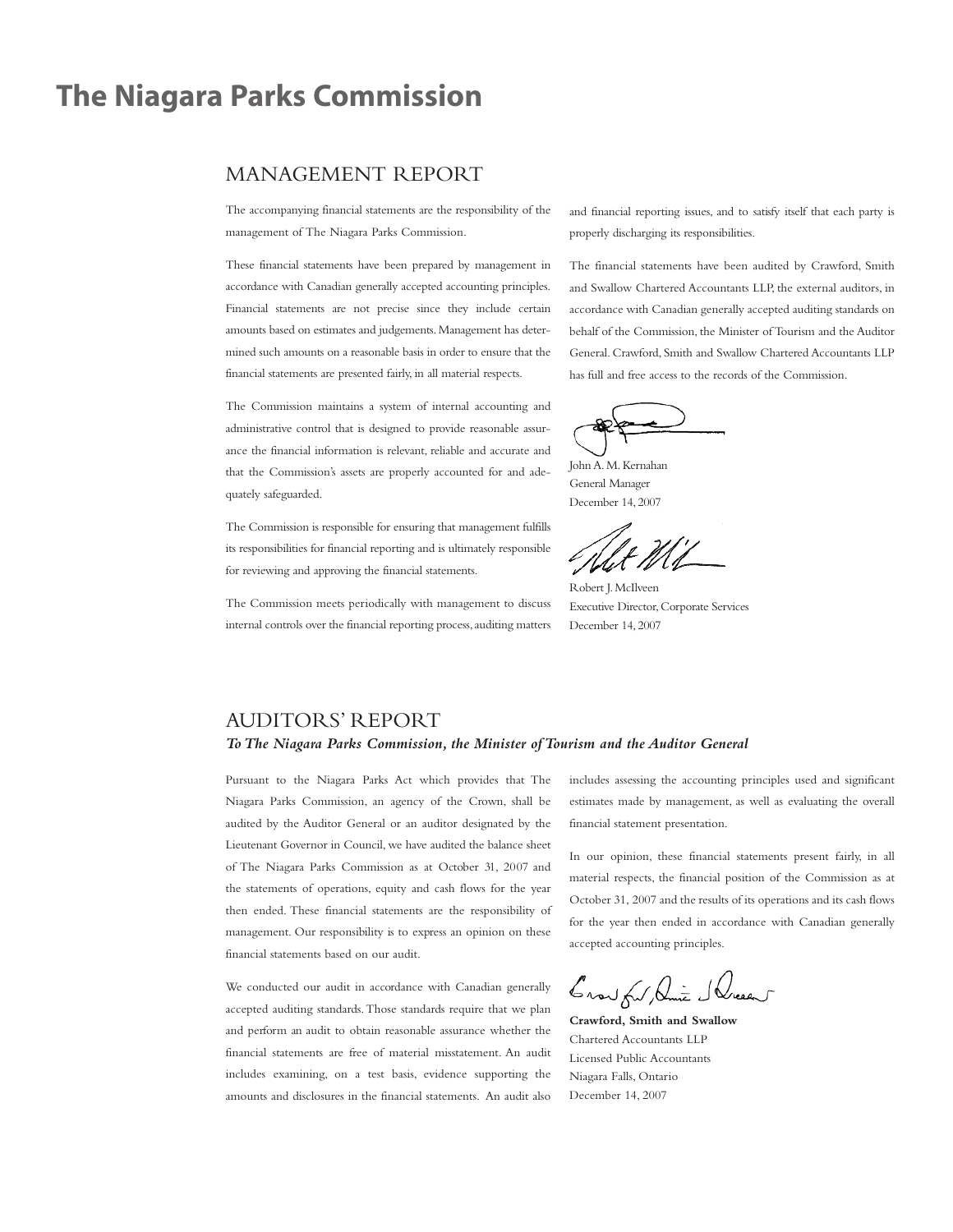## **The Niagara Parks Commission**

### MANAGEMENT REPORT

The accompanying financial statements are the responsibility of the management of The Niagara Parks Commission.

These financial statements have been prepared by management in accordance with Canadian generally accepted accounting principles. Financial statements are not precise since they include certain amounts based on estimates and judgements.Management has determined such amounts on a reasonable basis in order to ensure that the financial statements are presented fairly, in all material respects.

The Commission maintains a system of internal accounting and administrative control that is designed to provide reasonable assurance the financial information is relevant, reliable and accurate and that the Commission's assets are properly accounted for and adequately safeguarded.

The Commission is responsible for ensuring that management fulfills its responsibilities for financial reporting and is ultimately responsible for reviewing and approving the financial statements.

The Commission meets periodically with management to discuss internal controls over the financial reporting process, auditing matters and financial reporting issues, and to satisfy itself that each party is properly discharging its responsibilities.

The financial statements have been audited by Crawford, Smith and Swallow Chartered Accountants LLP, the external auditors, in accordance with Canadian generally accepted auditing standards on behalf of the Commission, the Minister of Tourism and the Auditor General. Crawford, Smith and Swallow Chartered Accountants LLP has full and free access to the records of the Commission.

JohnA.M.Kernahan General Manager December 14, 2007

Robert J.McIlveen Executive Director,Corporate Services December 14, 2007

### AUDITORS' REPORT

### *ToThe Niagara Parks Commission, the Minister ofTourism and the Auditor General*

Pursuant to the Niagara Parks Act which provides that The Niagara Parks Commission, an agency of the Crown, shall be audited by the Auditor General or an auditor designated by the Lieutenant Governor in Council, we have audited the balance sheet of The Niagara Parks Commission as at October 31, 2007 and the statements of operations, equity and cash flows for the year then ended. These financial statements are the responsibility of management. Our responsibility is to express an opinion on these financial statements based on our audit.

We conducted our audit in accordance with Canadian generally accepted auditing standards.Those standards require that we plan and perform an audit to obtain reasonable assurance whether the financial statements are free of material misstatement. An audit includes examining, on a test basis, evidence supporting the amounts and disclosures in the financial statements. An audit also includes assessing the accounting principles used and significant estimates made by management, as well as evaluating the overall financial statement presentation.

In our opinion, these financial statements present fairly, in all material respects, the financial position of the Commission as at October 31, 2007 and the results of its operations and its cash flows for the year then ended in accordance with Canadian generally accepted accounting principles.

Crow ful Die Slucent

**Crawford, Smith and Swallow** Chartered Accountants LLP Licensed Public Accountants Niagara Falls, Ontario December 14, 2007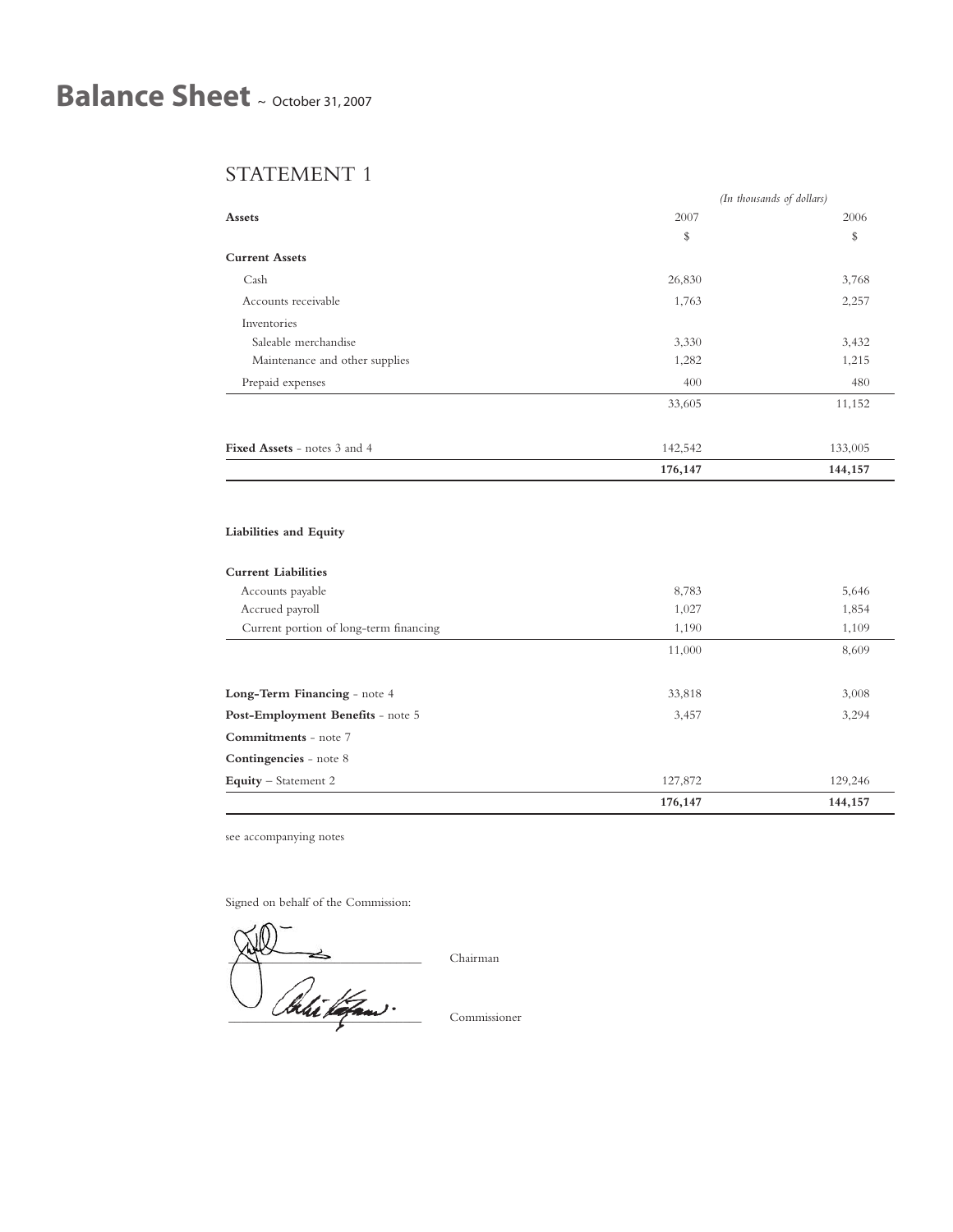# **Balance Sheet** <sup>~</sup> October 31, <sup>2007</sup>

## STATEMENT 1

|                                |         | (In thousands of dollars) |
|--------------------------------|---------|---------------------------|
| Assets                         | 2007    | 2006                      |
|                                | \$      | \$                        |
| <b>Current Assets</b>          |         |                           |
| Cash                           | 26,830  | 3,768                     |
| Accounts receivable            | 1,763   | 2,257                     |
| Inventories                    |         |                           |
| Saleable merchandise           | 3,330   | 3,432                     |
| Maintenance and other supplies | 1,282   | 1,215                     |
| Prepaid expenses               | 400     | 480                       |
|                                | 33,605  | 11,152                    |
| Fixed Assets - notes 3 and 4   | 142,542 | 133,005                   |
|                                | 176,147 | 144,157                   |

### **Liabilities and Equity**

### **Current Liabilities**

|                                        | 176,147 | 144,157 |
|----------------------------------------|---------|---------|
| Equity - Statement 2                   | 127,872 | 129,246 |
| Contingencies - note 8                 |         |         |
| <b>Commitments</b> - note 7            |         |         |
| Post-Employment Benefits - note 5      | 3,457   | 3,294   |
| Long-Term Financing - note 4           | 33,818  | 3,008   |
|                                        |         |         |
|                                        | 11,000  | 8,609   |
| Current portion of long-term financing | 1,190   | 1,109   |
| Accrued payroll                        | 1,027   | 1,854   |
| Accounts payable                       | 8,783   | 5,646   |
| ourrent <i>e</i> nomices               |         |         |

see accompanying notes

Signed on behalf of the Commission:

 $\bigwedge \bigwedge$  Chairman \_\_\_\_\_\_\_\_\_\_\_\_\_\_\_\_\_\_\_\_\_\_\_\_\_\_\_\_\_\_\_ Commissioner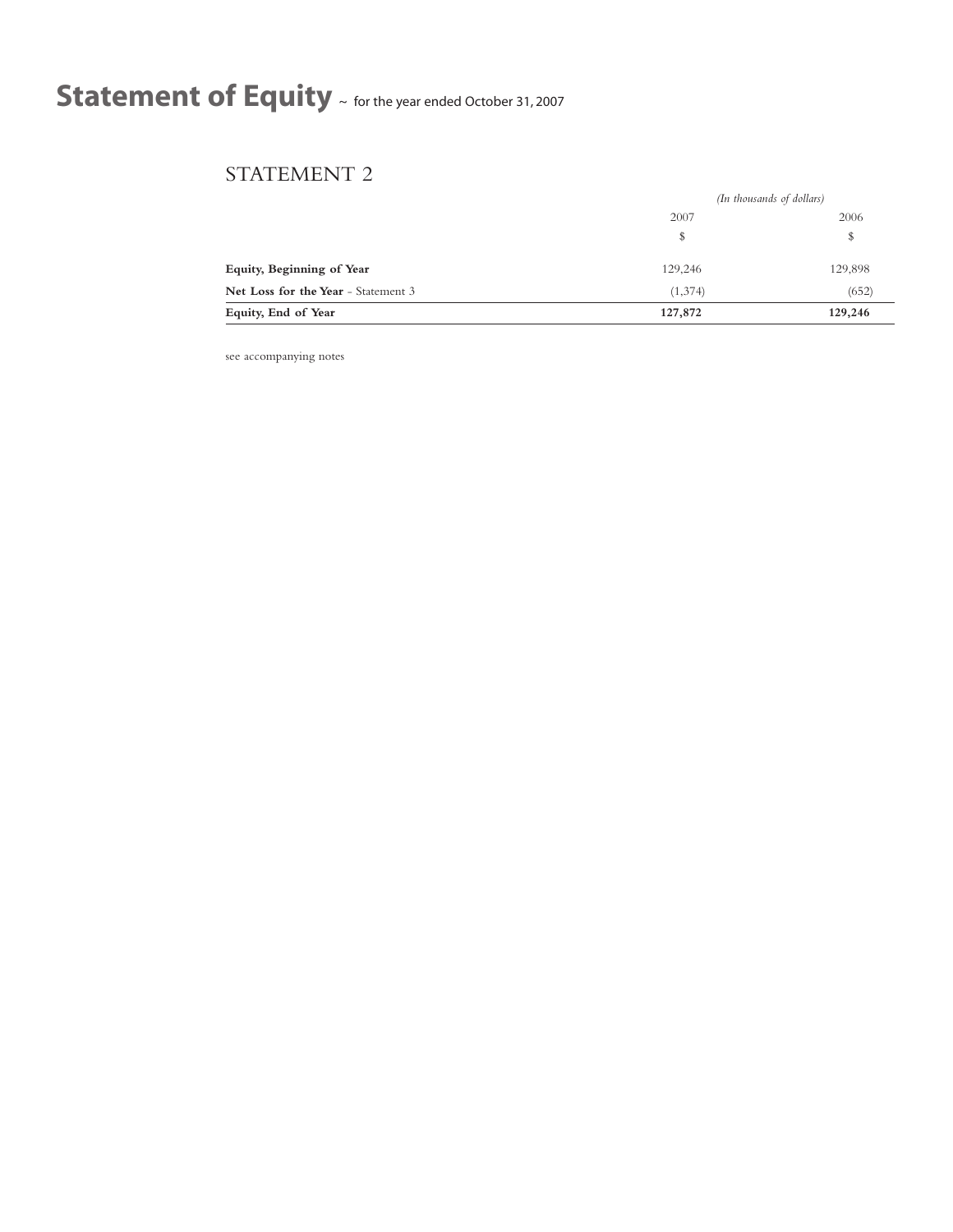# **Statement of Equity** <sup>~</sup> for the year ended October 31, <sup>2007</sup>

## STATEMENT 2

|                                     | (In thousands of dollars) |         |
|-------------------------------------|---------------------------|---------|
|                                     | 2007                      | 2006    |
|                                     | \$                        | \$      |
| Equity, Beginning of Year           | 129,246                   | 129,898 |
| Net Loss for the Year - Statement 3 | (1,374)                   | (652)   |
| Equity, End of Year                 | 127,872                   | 129,246 |

see accompanying notes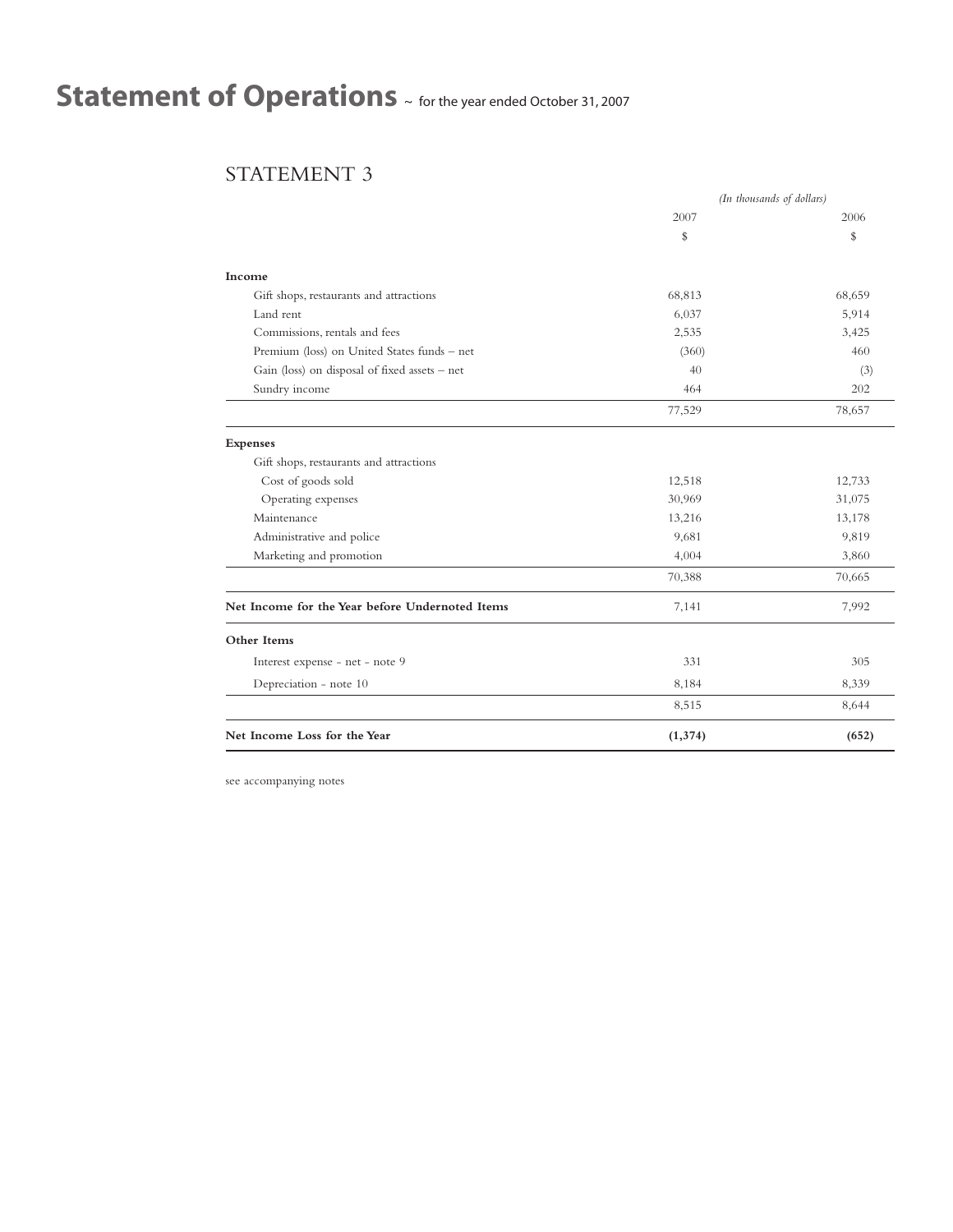# **Statement of Operations** <sup>~</sup> for the year ended October 31, <sup>2007</sup>

## STATEMENT 3

|                                                 | (In thousands of dollars) |        |
|-------------------------------------------------|---------------------------|--------|
|                                                 | 2007                      | 2006   |
|                                                 | \$                        | \$     |
| Income                                          |                           |        |
| Gift shops, restaurants and attractions         | 68,813                    | 68,659 |
| Land rent                                       | 6,037                     | 5,914  |
| Commissions, rentals and fees                   | 2,535                     | 3,425  |
| Premium (loss) on United States funds - net     | (360)                     | 460    |
| Gain (loss) on disposal of fixed assets - net   | 40                        | (3)    |
| Sundry income                                   | 464                       | 202    |
|                                                 | 77,529                    | 78,657 |
| <b>Expenses</b>                                 |                           |        |
| Gift shops, restaurants and attractions         |                           |        |
| Cost of goods sold                              | 12,518                    | 12,733 |
| Operating expenses                              | 30,969                    | 31,075 |
| Maintenance                                     | 13,216                    | 13,178 |
| Administrative and police                       | 9,681                     | 9,819  |
| Marketing and promotion                         | 4,004                     | 3,860  |
|                                                 | 70,388                    | 70,665 |
| Net Income for the Year before Undernoted Items | 7,141                     | 7,992  |
| Other Items                                     |                           |        |
| Interest expense - net - note 9                 | 331                       | 305    |
| Depreciation - note 10                          | 8,184                     | 8,339  |
|                                                 | 8,515                     | 8,644  |
| Net Income Loss for the Year                    | (1, 374)                  | (652)  |

see accompanying notes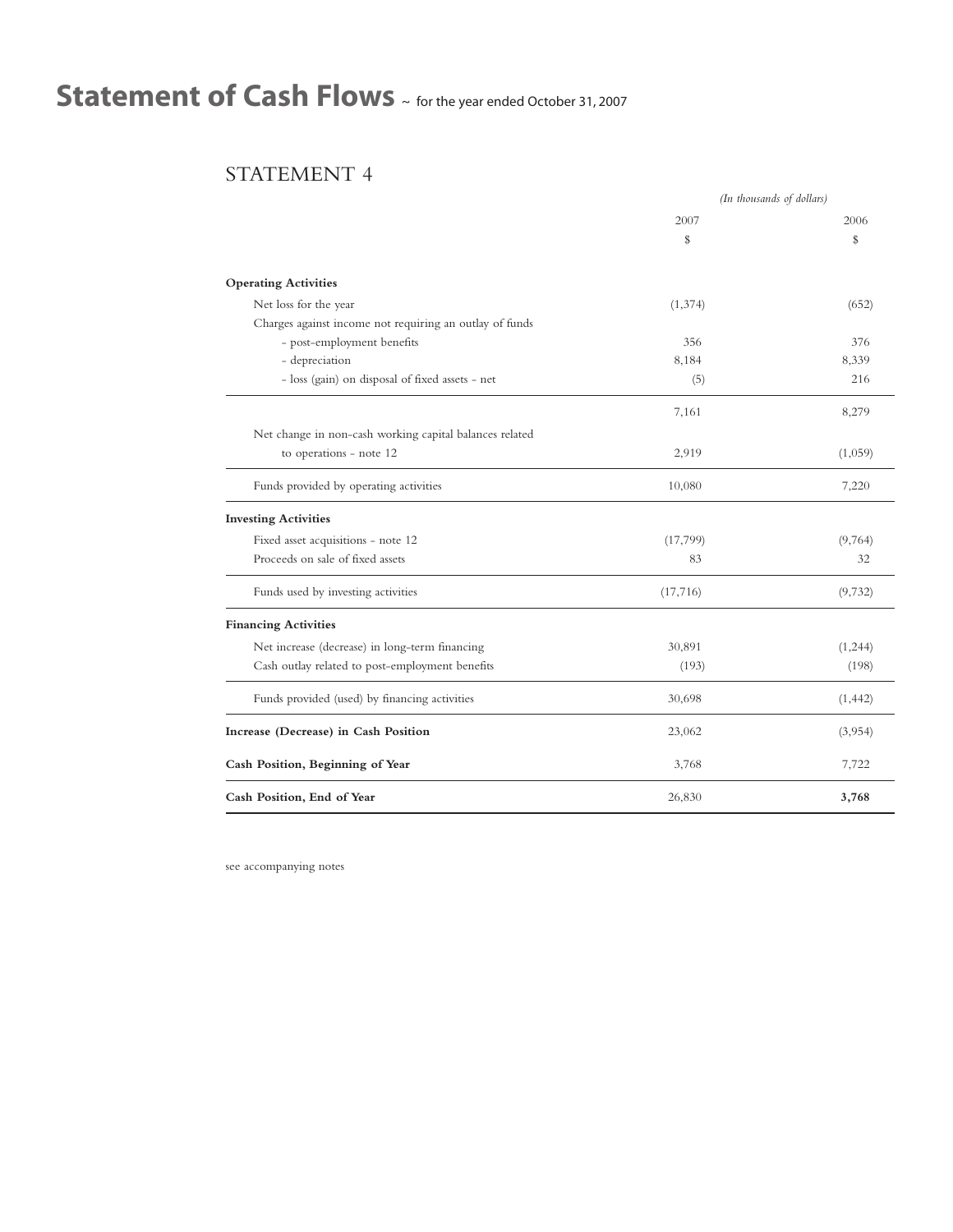# **Statement of Cash Flows** <sup>~</sup> for the year ended October 31, <sup>2007</sup>

## STATEMENT 4

|                                                         | (In thousands of dollars) |          |
|---------------------------------------------------------|---------------------------|----------|
|                                                         | 2007                      | 2006     |
|                                                         | \$                        | \$       |
| <b>Operating Activities</b>                             |                           |          |
| Net loss for the year                                   | (1, 374)                  | (652)    |
| Charges against income not requiring an outlay of funds |                           |          |
| - post-employment benefits                              | 356                       | 376      |
| - depreciation                                          | 8,184                     | 8,339    |
| - loss (gain) on disposal of fixed assets - net         | (5)                       | 216      |
|                                                         | 7,161                     | 8,279    |
| Net change in non-cash working capital balances related |                           |          |
| to operations - note 12                                 | 2,919                     | (1,059)  |
| Funds provided by operating activities                  | 10,080                    | 7,220    |
| <b>Investing Activities</b>                             |                           |          |
| Fixed asset acquisitions - note 12                      | (17, 799)                 | (9,764)  |
| Proceeds on sale of fixed assets                        | 83                        | 32       |
| Funds used by investing activities                      | (17,716)                  | (9,732)  |
| <b>Financing Activities</b>                             |                           |          |
| Net increase (decrease) in long-term financing          | 30,891                    | (1, 244) |
| Cash outlay related to post-employment benefits         | (193)                     | (198)    |
| Funds provided (used) by financing activities           | 30,698                    | (1, 442) |
| Increase (Decrease) in Cash Position                    | 23,062                    | (3,954)  |
| Cash Position, Beginning of Year                        | 3,768                     | 7,722    |
| Cash Position, End of Year                              | 26,830                    | 3,768    |

see accompanying notes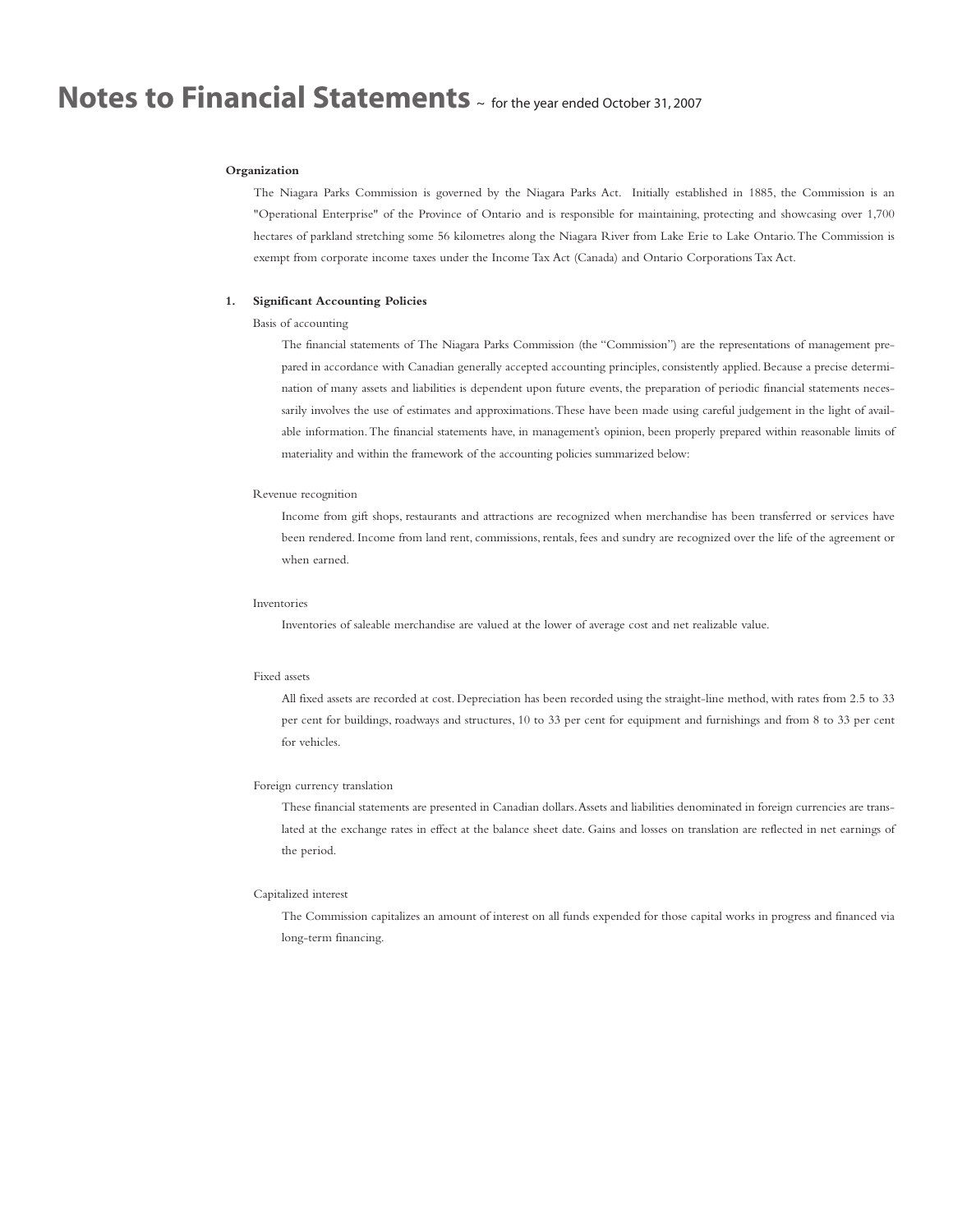#### **Organization**

The Niagara Parks Commission is governed by the Niagara Parks Act. Initially established in 1885, the Commission is an "Operational Enterprise" of the Province of Ontario and is responsible for maintaining, protecting and showcasing over 1,700 hectares of parkland stretching some 56 kilometres along the Niagara River from Lake Erie to Lake Ontario.The Commission is exempt from corporate income taxes under the Income Tax Act (Canada) and Ontario Corporations Tax Act.

#### **1. Significant Accounting Policies**

#### Basis of accounting

The financial statements of The Niagara Parks Commission (the "Commission") are the representations of management prepared in accordance with Canadian generally accepted accounting principles, consistently applied. Because a precise determination of many assets and liabilities is dependent upon future events, the preparation of periodic financial statements necessarily involves the use of estimates and approximations.These have been made using careful judgement in the light of available information.The financial statements have, in management's opinion, been properly prepared within reasonable limits of materiality and within the framework of the accounting policies summarized below:

#### Revenue recognition

Income from gift shops, restaurants and attractions are recognized when merchandise has been transferred or services have been rendered. Income from land rent, commissions, rentals, fees and sundry are recognized over the life of the agreement or when earned.

#### Inventories

Inventories of saleable merchandise are valued at the lower of average cost and net realizable value.

#### Fixed assets

All fixed assets are recorded at cost. Depreciation has been recorded using the straight-line method, with rates from 2.5 to 33 per cent for buildings, roadways and structures, 10 to 33 per cent for equipment and furnishings and from 8 to 33 per cent for vehicles.

#### Foreign currency translation

These financial statements are presented in Canadian dollars.Assets and liabilities denominated in foreign currencies are translated at the exchange rates in effect at the balance sheet date. Gains and losses on translation are reflected in net earnings of the period.

#### Capitalized interest

The Commission capitalizes an amount of interest on all funds expended for those capital works in progress and financed via long-term financing.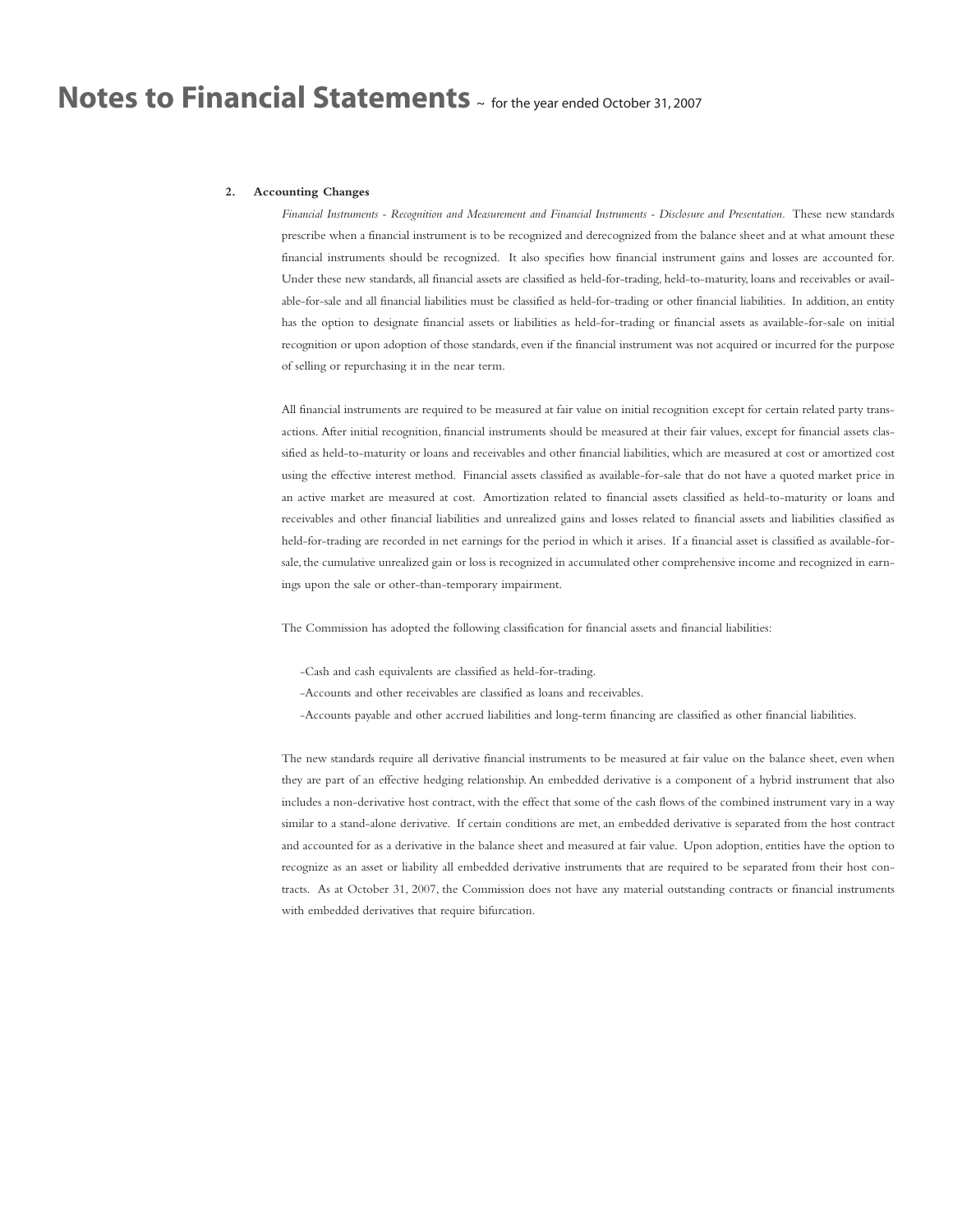#### **2. Accounting Changes**

*Financial Instruments - Recognition and Measurement and Financial Instruments - Disclosure and Presentation.* These new standards prescribe when a financial instrument is to be recognized and derecognized from the balance sheet and at what amount these financial instruments should be recognized. It also specifies how financial instrument gains and losses are accounted for. Under these new standards, all financial assets are classified as held-for-trading, held-to-maturity, loans and receivables or available-for-sale and all financial liabilities must be classified as held-for-trading or other financial liabilities. In addition, an entity has the option to designate financial assets or liabilities as held-for-trading or financial assets as available-for-sale on initial recognition or upon adoption of those standards, even if the financial instrument was not acquired or incurred for the purpose of selling or repurchasing it in the near term.

All financial instruments are required to be measured at fair value on initial recognition except for certain related party transactions. After initial recognition, financial instruments should be measured at their fair values, except for financial assets classified as held-to-maturity or loans and receivables and other financial liabilities, which are measured at cost or amortized cost using the effective interest method. Financial assets classified as available-for-sale that do not have a quoted market price in an active market are measured at cost. Amortization related to financial assets classified as held-to-maturity or loans and receivables and other financial liabilities and unrealized gains and losses related to financial assets and liabilities classified as held-for-trading are recorded in net earnings for the period in which it arises. If a financial asset is classified as available-forsale, the cumulative unrealized gain or loss is recognized in accumulated other comprehensive income and recognized in earnings upon the sale or other-than-temporary impairment.

The Commission has adopted the following classification for financial assets and financial liabilities:

-Cash and cash equivalents are classified as held-for-trading.

-Accounts and other receivables are classified as loans and receivables.

-Accounts payable and other accrued liabilities and long-term financing are classified as other financial liabilities.

The new standards require all derivative financial instruments to be measured at fair value on the balance sheet, even when they are part of an effective hedging relationship.An embedded derivative is a component of a hybrid instrument that also includes a non-derivative host contract, with the effect that some of the cash flows of the combined instrument vary in a way similar to a stand-alone derivative. If certain conditions are met, an embedded derivative is separated from the host contract and accounted for as a derivative in the balance sheet and measured at fair value. Upon adoption, entities have the option to recognize as an asset or liability all embedded derivative instruments that are required to be separated from their host contracts. As at October 31, 2007, the Commission does not have any material outstanding contracts or financial instruments with embedded derivatives that require bifurcation.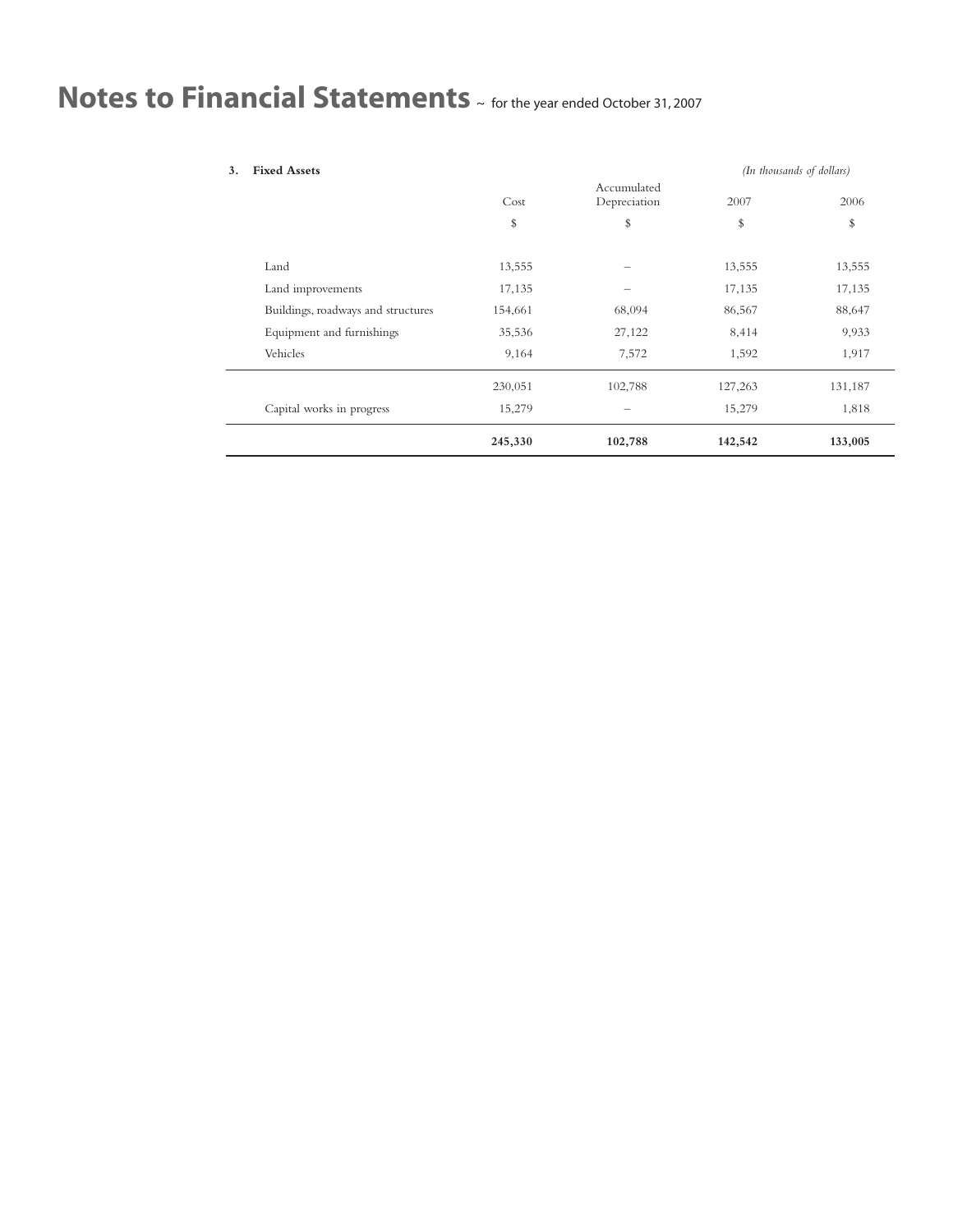| 3. | <b>Fixed Assets</b>                |         |                             |         | (In thousands of dollars) |
|----|------------------------------------|---------|-----------------------------|---------|---------------------------|
|    |                                    | Cost    | Accumulated<br>Depreciation | 2007    | 2006                      |
|    |                                    | \$      | \$                          | \$      | \$                        |
|    | Land                               | 13,555  |                             | 13,555  | 13,555                    |
|    | Land improvements                  | 17,135  |                             | 17,135  | 17,135                    |
|    | Buildings, roadways and structures | 154,661 | 68,094                      | 86,567  | 88,647                    |
|    | Equipment and furnishings          | 35,536  | 27,122                      | 8,414   | 9,933                     |
|    | Vehicles                           | 9,164   | 7,572                       | 1,592   | 1,917                     |
|    |                                    | 230,051 | 102,788                     | 127,263 | 131,187                   |
|    | Capital works in progress          | 15,279  |                             | 15,279  | 1,818                     |
|    |                                    | 245,330 | 102,788                     | 142,542 | 133,005                   |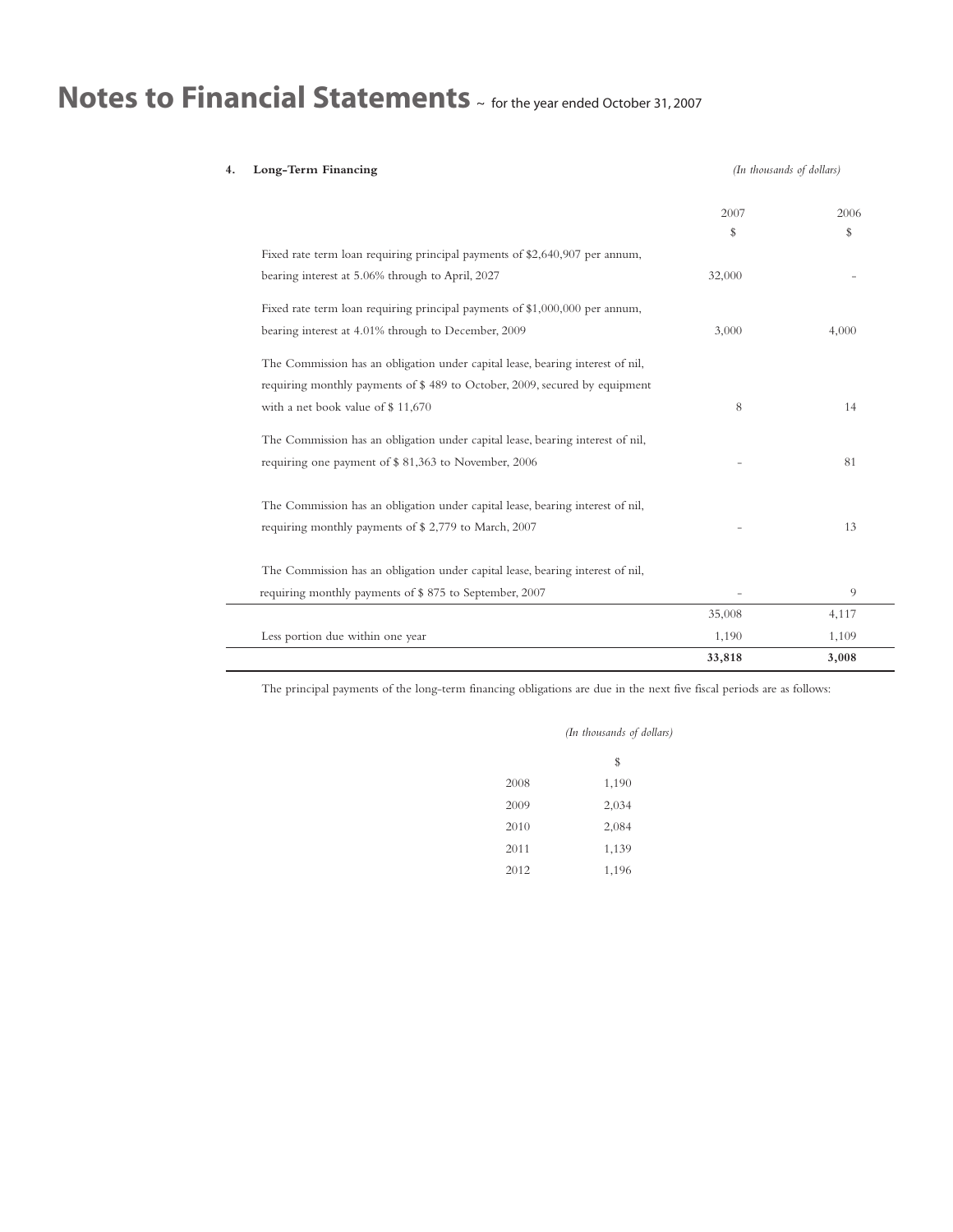| Long-Term Financing                                                            | (In thousands of dollars) |       |
|--------------------------------------------------------------------------------|---------------------------|-------|
|                                                                                | 2007                      | 2006  |
|                                                                                | \$                        | \$    |
| Fixed rate term loan requiring principal payments of \$2,640,907 per annum,    |                           |       |
| bearing interest at 5.06% through to April, 2027                               | 32,000                    |       |
| Fixed rate term loan requiring principal payments of \$1,000,000 per annum,    |                           |       |
| bearing interest at 4.01% through to December, 2009                            | 3,000                     | 4,000 |
| The Commission has an obligation under capital lease, bearing interest of nil, |                           |       |
| requiring monthly payments of \$489 to October, 2009, secured by equipment     |                           |       |
| with a net book value of \$11,670                                              | 8                         | 14    |
| The Commission has an obligation under capital lease, bearing interest of nil, |                           |       |
| requiring one payment of \$81,363 to November, 2006                            |                           | 81    |
| The Commission has an obligation under capital lease, bearing interest of nil, |                           |       |
| requiring monthly payments of \$2,779 to March, 2007                           |                           | 13    |
| The Commission has an obligation under capital lease, bearing interest of nil, |                           |       |
| requiring monthly payments of \$875 to September, 2007                         |                           | 9     |
|                                                                                | 35,008                    | 4,117 |
| Less portion due within one year                                               | 1,190                     | 1,109 |
|                                                                                | 33,818                    | 3,008 |

The principal payments of the long-term financing obligations are due in the next five fiscal periods are as follows:

|      | (In thousands of dollars) |  |
|------|---------------------------|--|
|      | \$                        |  |
| 2008 | 1,190                     |  |
| 2009 | 2,034                     |  |
| 2010 | 2,084                     |  |
| 2011 | 1,139                     |  |
| 2012 | 1,196                     |  |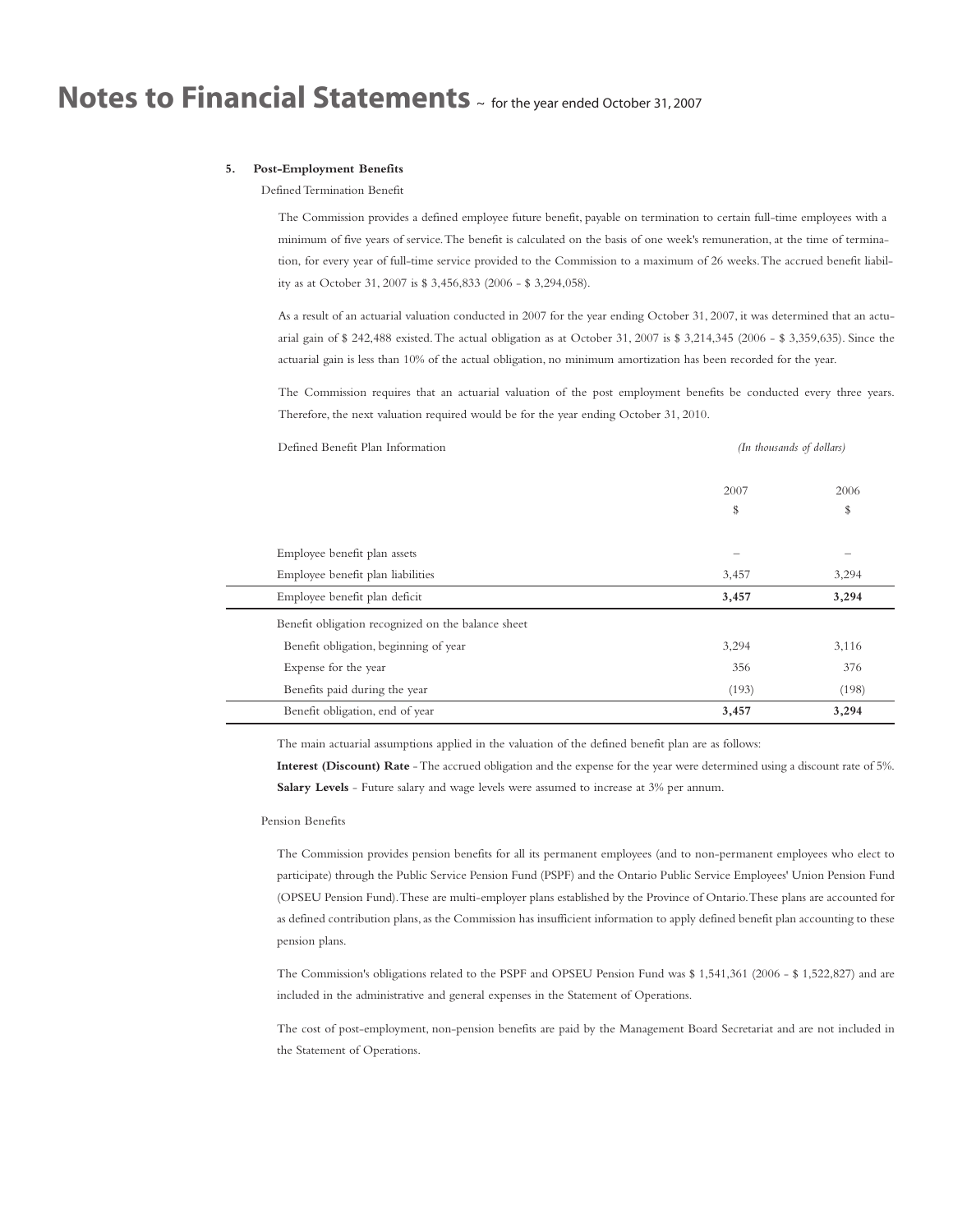#### **5. Post-Employment Benefits**

Defined Termination Benefit

The Commission provides a defined employee future benefit, payable on termination to certain full-time employees with a minimum of five years of service.The benefit is calculated on the basis of one week's remuneration, at the time of termination, for every year of full-time service provided to the Commission to a maximum of 26 weeks.The accrued benefit liability as at October 31, 2007 is \$ 3,456,833 (2006 - \$ 3,294,058).

As a result of an actuarial valuation conducted in 2007 for the year ending October 31, 2007, it was determined that an actuarial gain of \$ 242,488 existed.The actual obligation as at October 31, 2007 is \$ 3,214,345 (2006 - \$ 3,359,635). Since the actuarial gain is less than 10% of the actual obligation, no minimum amortization has been recorded for the year.

The Commission requires that an actuarial valuation of the post employment benefits be conducted every three years. Therefore, the next valuation required would be for the year ending October 31, 2010.

| Defined Benefit Plan Information                   | (In thousands of dollars) |       |
|----------------------------------------------------|---------------------------|-------|
|                                                    | 2007                      | 2006  |
|                                                    | \$                        | \$    |
| Employee benefit plan assets                       |                           |       |
| Employee benefit plan liabilities                  | 3,457                     | 3,294 |
| Employee benefit plan deficit                      | 3,457                     | 3,294 |
| Benefit obligation recognized on the balance sheet |                           |       |
| Benefit obligation, beginning of year              | 3,294                     | 3,116 |
| Expense for the year                               | 356                       | 376   |
| Benefits paid during the year                      | (193)                     | (198) |
| Benefit obligation, end of year                    | 3,457                     | 3,294 |

The main actuarial assumptions applied in the valuation of the defined benefit plan are as follows:

**Interest (Discount) Rate** -The accrued obligation and the expense for the year were determined using a discount rate of 5%. **Salary Levels** - Future salary and wage levels were assumed to increase at 3% per annum.

#### Pension Benefits

The Commission provides pension benefits for all its permanent employees (and to non-permanent employees who elect to participate) through the Public Service Pension Fund (PSPF) and the Ontario Public Service Employees' Union Pension Fund (OPSEU Pension Fund).These are multi-employer plans established by the Province of Ontario.These plans are accounted for as defined contribution plans, as the Commission has insufficient information to apply defined benefit plan accounting to these pension plans.

The Commission's obligations related to the PSPF and OPSEU Pension Fund was \$ 1,541,361 (2006 - \$ 1,522,827) and are included in the administrative and general expenses in the Statement of Operations.

The cost of post-employment, non-pension benefits are paid by the Management Board Secretariat and are not included in the Statement of Operations.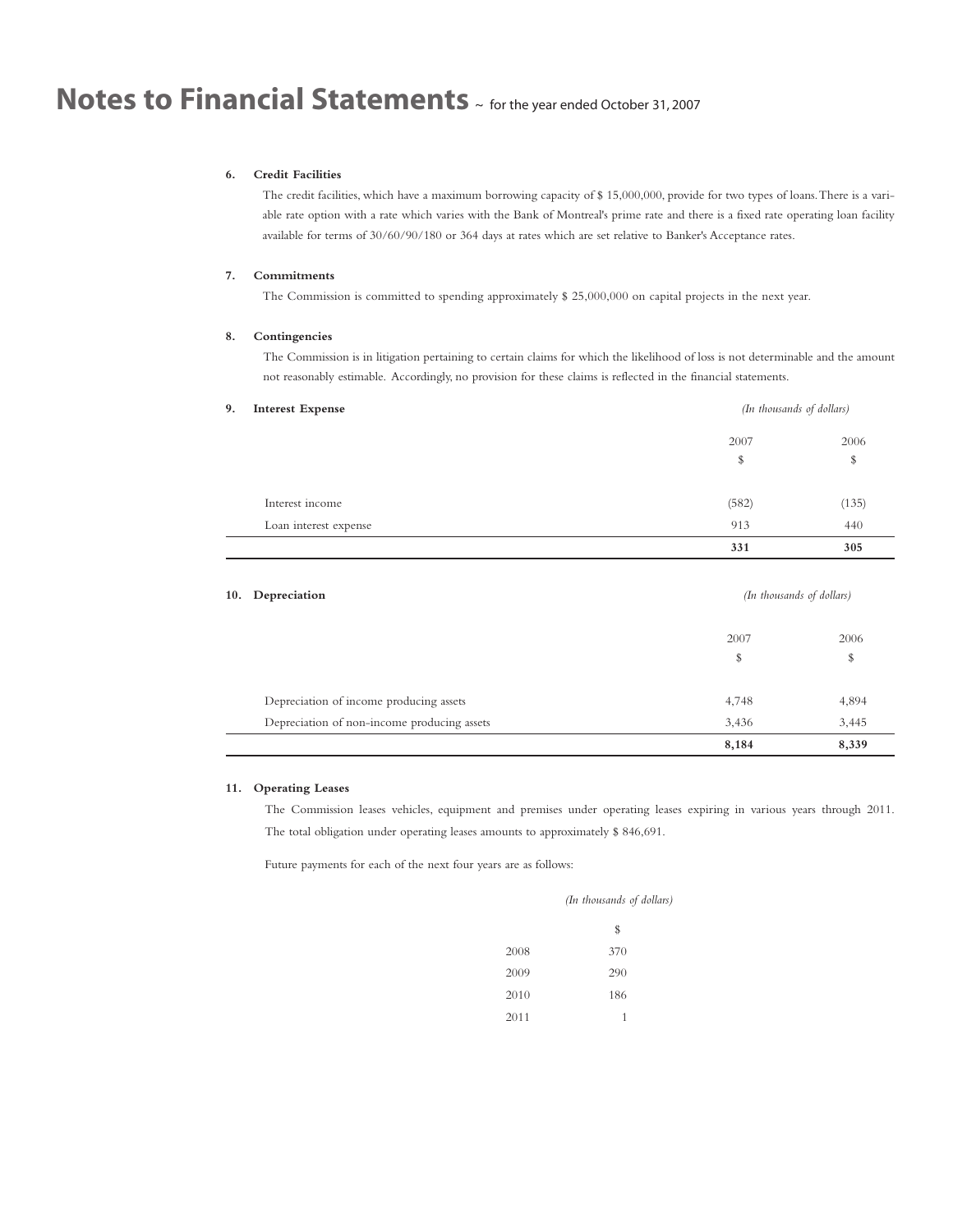### **6. Credit Facilities**

The credit facilities, which have a maximum borrowing capacity of \$ 15,000,000, provide for two types of loans.There is a variable rate option with a rate which varies with the Bank of Montreal's prime rate and there is a fixed rate operating loan facility available for terms of 30/60/90/180 or 364 days at rates which are set relative to Banker's Acceptance rates.

### **7. Commitments**

The Commission is committed to spending approximately \$ 25,000,000 on capital projects in the next year.

#### **8. Contingencies**

The Commission is in litigation pertaining to certain claims for which the likelihood of loss is not determinable and the amount not reasonably estimable. Accordingly, no provision for these claims is reflected in the financial statements.

| 9.<br><b>Interest Expense</b> | (In thousands of dollars) |       |
|-------------------------------|---------------------------|-------|
|                               | 2007                      | 2006  |
|                               | \$                        | \$    |
| Interest income               | (582)                     | (135) |
| Loan interest expense         | 913                       | 440   |
|                               | 331                       | 305   |

| 10. Depreciation                            | (In thousands of dollars) |       |
|---------------------------------------------|---------------------------|-------|
|                                             | 2007                      | 2006  |
|                                             | \$                        | \$    |
| Depreciation of income producing assets     | 4,748                     | 4,894 |
| Depreciation of non-income producing assets | 3,436                     | 3,445 |
|                                             | 8,184                     | 8,339 |

### **11. Operating Leases**

L

The Commission leases vehicles, equipment and premises under operating leases expiring in various years through 2011. The total obligation under operating leases amounts to approximately \$ 846,691.

Future payments for each of the next four years are as follows:

| (In thousands of dollars) |  |
|---------------------------|--|
|---------------------------|--|

|      | \$  |
|------|-----|
| 2008 | 370 |
| 2009 | 290 |
| 2010 | 186 |
| 2011 | 1   |